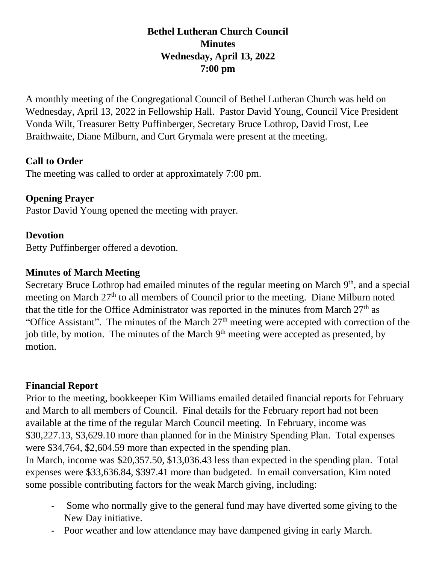### **Bethel Lutheran Church Council Minutes Wednesday, April 13, 2022 7:00 pm**

A monthly meeting of the Congregational Council of Bethel Lutheran Church was held on Wednesday, April 13, 2022 in Fellowship Hall. Pastor David Young, Council Vice President Vonda Wilt, Treasurer Betty Puffinberger, Secretary Bruce Lothrop, David Frost, Lee Braithwaite, Diane Milburn, and Curt Grymala were present at the meeting.

#### **Call to Order**

The meeting was called to order at approximately 7:00 pm.

# **Opening Prayer**

Pastor David Young opened the meeting with prayer.

# **Devotion**

Betty Puffinberger offered a devotion.

# **Minutes of March Meeting**

Secretary Bruce Lothrop had emailed minutes of the regular meeting on March  $9<sup>th</sup>$ , and a special meeting on March  $27<sup>th</sup>$  to all members of Council prior to the meeting. Diane Milburn noted that the title for the Office Administrator was reported in the minutes from March  $27<sup>th</sup>$  as "Office Assistant". The minutes of the March  $27<sup>th</sup>$  meeting were accepted with correction of the job title, by motion. The minutes of the March 9<sup>th</sup> meeting were accepted as presented, by motion.

# **Financial Report**

Prior to the meeting, bookkeeper Kim Williams emailed detailed financial reports for February and March to all members of Council. Final details for the February report had not been available at the time of the regular March Council meeting. In February, income was \$30,227.13, \$3,629.10 more than planned for in the Ministry Spending Plan. Total expenses were \$34,764, \$2,604.59 more than expected in the spending plan.

In March, income was \$20,357.50, \$13,036.43 less than expected in the spending plan. Total expenses were \$33,636.84, \$397.41 more than budgeted. In email conversation, Kim noted some possible contributing factors for the weak March giving, including:

- Some who normally give to the general fund may have diverted some giving to the New Day initiative.
- Poor weather and low attendance may have dampened giving in early March.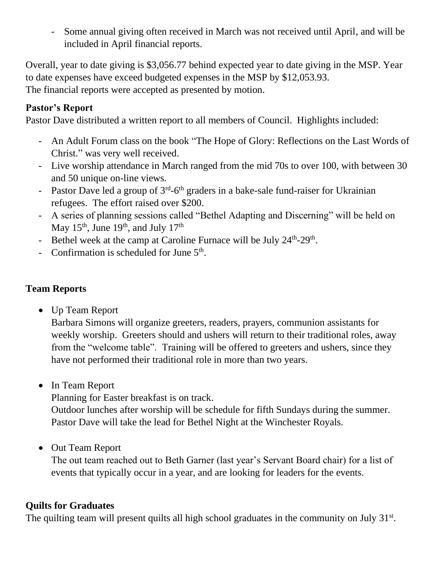- Some annual giving often received in March was not received until April, and will be included in April financial reports.

Overall, year to date giving is \$3,056.77 behind expected year to date giving in the MSP. Year to date expenses have exceed budgeted expenses in the MSP by \$12,053.93. The financial reports were accepted as presented by motion.

#### **Pastor's Report**

Pastor Dave distributed a written report to all members of Council. Highlights included:

- An Adult Forum class on the book "The Hope of Glory: Reflections on the Last Words of Christ." was very well received.
- Live worship attendance in March ranged from the mid 70s to over 100, with between 30 and 50 unique on-line views.
- Pastor Dave led a group of  $3<sup>rd</sup>$ -6<sup>th</sup> graders in a bake-sale fund-raiser for Ukrainian refugees. The effort raised over \$200.
- A series of planning sessions called "Bethel Adapting and Discerning" will be held on May  $15<sup>th</sup>$ , June  $19<sup>th</sup>$ , and July  $17<sup>th</sup>$
- Bethel week at the camp at Caroline Furnace will be July 24<sup>th</sup>-29<sup>th</sup>.
- Confirmation is scheduled for June  $5<sup>th</sup>$ .

# **Team Reports**

• Up Team Report

Barbara Simons will organize greeters, readers, prayers, communion assistants for weekly worship. Greeters should and ushers will return to their traditional roles, away from the "welcome table". Training will be offered to greeters and ushers, since they have not performed their traditional role in more than two years.

• In Team Report

Planning for Easter breakfast is on track.

Outdoor lunches after worship will be schedule for fifth Sundays during the summer. Pastor Dave will take the lead for Bethel Night at the Winchester Royals.

• Out Team Report

The out team reached out to Beth Garner (last year's Servant Board chair) for a list of events that typically occur in a year, and are looking for leaders for the events.

#### **Quilts for Graduates**

The quilting team will present quilts all high school graduates in the community on July  $31<sup>st</sup>$ .